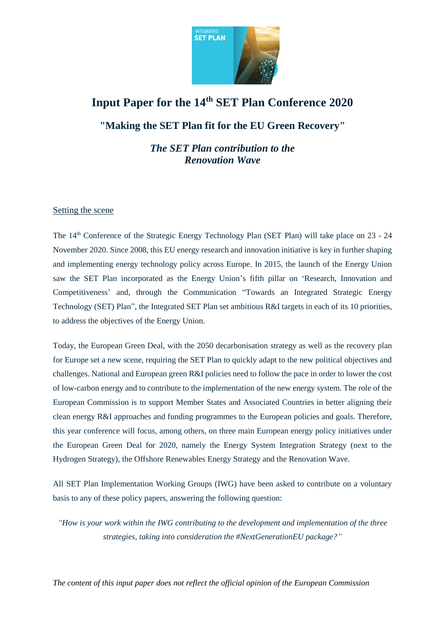

# **Input Paper for the 14th SET Plan Conference 2020**

**"Making the SET Plan fit for the EU Green Recovery"**

*The SET Plan contribution to the Renovation Wave*

## Setting the scene

The 14<sup>th</sup> Conference of the Strategic Energy Technology Plan (SET Plan) will take place on 23 - 24 November 2020. Since 2008, this EU energy research and innovation initiative is key in further shaping and implementing energy technology policy across Europe. In 2015, the launch of the Energy Union saw the SET Plan incorporated as the Energy Union's fifth pillar on 'Research, Innovation and Competitiveness' and, through the Communication "Towards an Integrated Strategic Energy Technology (SET) Plan", the Integrated SET Plan set ambitious R&I targets in each of its 10 priorities, to address the objectives of the Energy Union.

Today, the European Green Deal, with the 2050 decarbonisation strategy as well as the recovery plan for Europe set a new scene, requiring the SET Plan to quickly adapt to the new political objectives and challenges. National and European green R&I policies need to follow the pace in order to lower the cost of low-carbon energy and to contribute to the implementation of the new energy system. The role of the European Commission is to support Member States and Associated Countries in better aligning their clean energy R&I approaches and funding programmes to the European policies and goals. Therefore, this year conference will focus, among others, on three main European energy policy initiatives under the European Green Deal for 2020, namely the Energy System Integration Strategy (next to the Hydrogen Strategy), the Offshore Renewables Energy Strategy and the Renovation Wave.

All SET Plan Implementation Working Groups (IWG) have been asked to contribute on a voluntary basis to any of these policy papers, answering the following question:

*"How is your work within the IWG contributing to the development and implementation of the three strategies, taking into consideration the #NextGenerationEU package?"*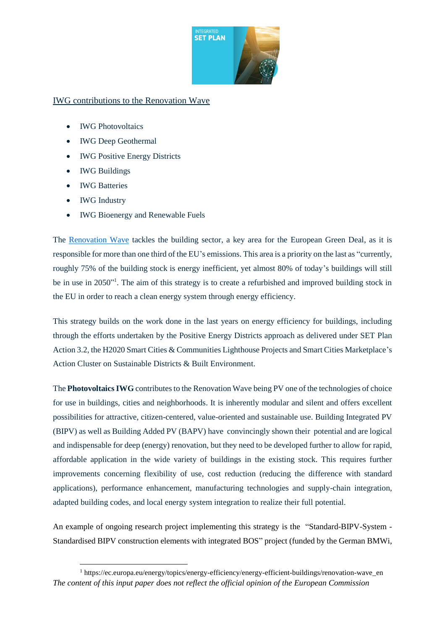

# IWG contributions to the Renovation Wave

- IWG Photovoltaics
- IWG Deep Geothermal
- IWG Positive Energy Districts
- IWG Buildings
- IWG Batteries
- IWG Industry

<u>.</u>

• IWG Bioenergy and Renewable Fuels

The [Renovation Wave](https://ec.europa.eu/energy/sites/ener/files/eu_renovation_wave_strategy.pdf) tackles the building sector, a key area for the European Green Deal, as it is responsible for more than one third of the EU's emissions. This area is a priority on the last as "currently, roughly 75% of the building stock is energy inefficient, yet almost 80% of today's buildings will still be in use in 2050"<sup>1</sup>. The aim of this strategy is to create a refurbished and improved building stock in the EU in order to reach a clean energy system through energy efficiency.

This strategy builds on the work done in the last years on energy efficiency for buildings, including through the efforts undertaken by the Positive Energy Districts approach as delivered under SET Plan Action 3.2, the H2020 Smart Cities & Communities Lighthouse Projects and Smart Cities Marketplace's Action Cluster on Sustainable Districts & Built Environment.

The **PhotovoltaicsIWG** contributes to the Renovation Wave being PV one of the technologies of choice for use in buildings, cities and neighborhoods. It is inherently modular and silent and offers excellent possibilities for attractive, citizen-centered, value-oriented and sustainable use. Building Integrated PV (BIPV) as well as Building Added PV (BAPV) have convincingly shown their potential and are logical and indispensable for deep (energy) renovation, but they need to be developed further to allow for rapid, affordable application in the wide variety of buildings in the existing stock. This requires further improvements concerning flexibility of use, cost reduction (reducing the difference with standard applications), performance enhancement, manufacturing technologies and supply-chain integration, adapted building codes, and local energy system integration to realize their full potential.

An example of ongoing research project implementing this strategy is the "Standard-BIPV-System - Standardised BIPV construction elements with integrated BOS" project (funded by the German BMWi,

*The content of this input paper does not reflect the official opinion of the European Commission* <sup>1</sup> https://ec.europa.eu/energy/topics/energy-efficiency/energy-efficient-buildings/renovation-wave\_en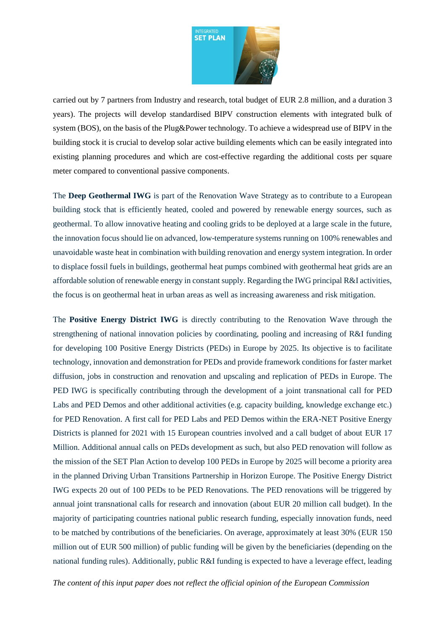

carried out by 7 partners from Industry and research, total budget of EUR 2.8 million, and a duration 3 years). The projects will develop standardised BIPV construction elements with integrated bulk of system (BOS), on the basis of the Plug&Power technology. To achieve a widespread use of BIPV in the building stock it is crucial to develop solar active building elements which can be easily integrated into existing planning procedures and which are cost-effective regarding the additional costs per square meter compared to conventional passive components.

The **Deep Geothermal IWG** is part of the Renovation Wave Strategy as to contribute to a European building stock that is efficiently heated, cooled and powered by renewable energy sources, such as geothermal. To allow innovative heating and cooling grids to be deployed at a large scale in the future, the innovation focus should lie on advanced, low-temperature systems running on 100% renewables and unavoidable waste heat in combination with building renovation and energy system integration. In order to displace fossil fuels in buildings, geothermal heat pumps combined with geothermal heat grids are an affordable solution of renewable energy in constant supply. Regarding the IWG principal R&I activities, the focus is on geothermal heat in urban areas as well as increasing awareness and risk mitigation.

The **Positive Energy District IWG** is directly contributing to the Renovation Wave through the strengthening of national innovation policies by coordinating, pooling and increasing of R&I funding for developing 100 Positive Energy Districts (PEDs) in Europe by 2025. Its objective is to facilitate technology, innovation and demonstration for PEDs and provide framework conditions for faster market diffusion, jobs in construction and renovation and upscaling and replication of PEDs in Europe. The PED IWG is specifically contributing through the development of a joint transnational call for PED Labs and PED Demos and other additional activities (e.g. capacity building, knowledge exchange etc.) for PED Renovation. A first call for PED Labs and PED Demos within the ERA-NET Positive Energy Districts is planned for 2021 with 15 European countries involved and a call budget of about EUR 17 Million. Additional annual calls on PEDs development as such, but also PED renovation will follow as the mission of the SET Plan Action to develop 100 PEDs in Europe by 2025 will become a priority area in the planned Driving Urban Transitions Partnership in Horizon Europe. The Positive Energy District IWG expects 20 out of 100 PEDs to be PED Renovations. The PED renovations will be triggered by annual joint transnational calls for research and innovation (about EUR 20 million call budget). In the majority of participating countries national public research funding, especially innovation funds, need to be matched by contributions of the beneficiaries. On average, approximately at least 30% (EUR 150 million out of EUR 500 million) of public funding will be given by the beneficiaries (depending on the national funding rules). Additionally, public R&I funding is expected to have a leverage effect, leading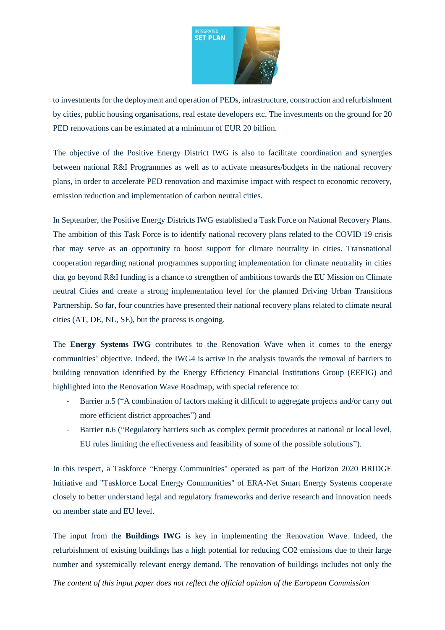

to investments for the deployment and operation of PEDs, infrastructure, construction and refurbishment by cities, public housing organisations, real estate developers etc. The investments on the ground for 20 PED renovations can be estimated at a minimum of EUR 20 billion.

The objective of the Positive Energy District IWG is also to facilitate coordination and synergies between national R&I Programmes as well as to activate measures/budgets in the national recovery plans, in order to accelerate PED renovation and maximise impact with respect to economic recovery, emission reduction and implementation of carbon neutral cities.

In September, the Positive Energy Districts IWG established a Task Force on National Recovery Plans. The ambition of this Task Force is to identify national recovery plans related to the COVID 19 crisis that may serve as an opportunity to boost support for climate neutrality in cities. Transnational cooperation regarding national programmes supporting implementation for climate neutrality in cities that go beyond R&I funding is a chance to strengthen of ambitions towards the EU Mission on Climate neutral Cities and create a strong implementation level for the planned Driving Urban Transitions Partnership. So far, four countries have presented their national recovery plans related to climate neural cities (AT, DE, NL, SE), but the process is ongoing.

The **Energy Systems IWG** contributes to the Renovation Wave when it comes to the energy communities' objective. Indeed, the IWG4 is active in the analysis towards the removal of barriers to building renovation identified by the Energy Efficiency Financial Institutions Group (EEFIG) and highlighted into the Renovation Wave Roadmap, with special reference to:

- Barrier n.5 ("A combination of factors making it difficult to aggregate projects and/or carry out more efficient district approaches") and
- Barrier n.6 ("Regulatory barriers such as complex permit procedures at national or local level, EU rules limiting the effectiveness and feasibility of some of the possible solutions").

In this respect, a Taskforce "Energy Communities" operated as part of the Horizon 2020 BRIDGE Initiative and "Taskforce Local Energy Communities" of ERA-Net Smart Energy Systems cooperate closely to better understand legal and regulatory frameworks and derive research and innovation needs on member state and EU level.

The input from the **Buildings IWG** is key in implementing the Renovation Wave. Indeed, the refurbishment of existing buildings has a high potential for reducing CO2 emissions due to their large number and systemically relevant energy demand. The renovation of buildings includes not only the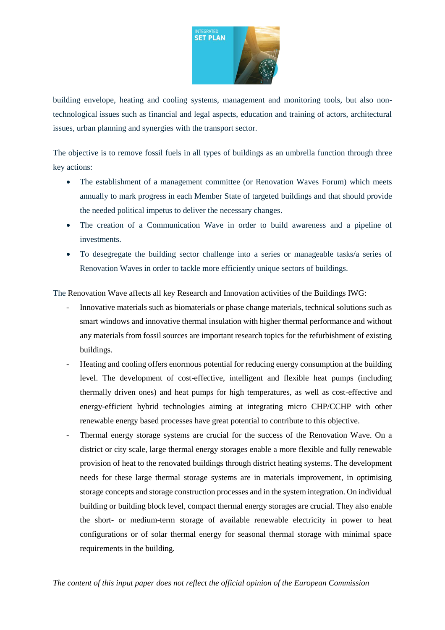

building envelope, heating and cooling systems, management and monitoring tools, but also nontechnological issues such as financial and legal aspects, education and training of actors, architectural issues, urban planning and synergies with the transport sector.

The objective is to remove fossil fuels in all types of buildings as an umbrella function through three key actions:

- The establishment of a management committee (or Renovation Waves Forum) which meets annually to mark progress in each Member State of targeted buildings and that should provide the needed political impetus to deliver the necessary changes.
- The creation of a Communication Wave in order to build awareness and a pipeline of investments.
- To desegregate the building sector challenge into a series or manageable tasks/a series of Renovation Waves in order to tackle more efficiently unique sectors of buildings.

The Renovation Wave affects all key Research and Innovation activities of the Buildings IWG:

- Innovative materials such as biomaterials or phase change materials, technical solutions such as smart windows and innovative thermal insulation with higher thermal performance and without any materials from fossil sources are important research topics for the refurbishment of existing buildings.
- Heating and cooling offers enormous potential for reducing energy consumption at the building level. The development of cost-effective, intelligent and flexible heat pumps (including thermally driven ones) and heat pumps for high temperatures, as well as cost-effective and energy-efficient hybrid technologies aiming at integrating micro CHP/CCHP with other renewable energy based processes have great potential to contribute to this objective.
- Thermal energy storage systems are crucial for the success of the Renovation Wave. On a district or city scale, large thermal energy storages enable a more flexible and fully renewable provision of heat to the renovated buildings through district heating systems. The development needs for these large thermal storage systems are in materials improvement, in optimising storage concepts and storage construction processes and in the system integration. On individual building or building block level, compact thermal energy storages are crucial. They also enable the short- or medium-term storage of available renewable electricity in power to heat configurations or of solar thermal energy for seasonal thermal storage with minimal space requirements in the building.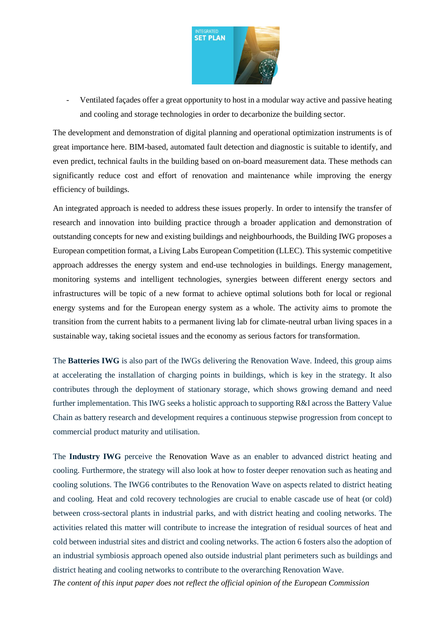

- Ventilated façades offer a great opportunity to host in a modular way active and passive heating and cooling and storage technologies in order to decarbonize the building sector.

The development and demonstration of digital planning and operational optimization instruments is of great importance here. BIM-based, automated fault detection and diagnostic is suitable to identify, and even predict, technical faults in the building based on on-board measurement data. These methods can significantly reduce cost and effort of renovation and maintenance while improving the energy efficiency of buildings.

An integrated approach is needed to address these issues properly. In order to intensify the transfer of research and innovation into building practice through a broader application and demonstration of outstanding concepts for new and existing buildings and neighbourhoods, the Building IWG proposes a European competition format, a Living Labs European Competition (LLEC). This systemic competitive approach addresses the energy system and end-use technologies in buildings. Energy management, monitoring systems and intelligent technologies, synergies between different energy sectors and infrastructures will be topic of a new format to achieve optimal solutions both for local or regional energy systems and for the European energy system as a whole. The activity aims to promote the transition from the current habits to a permanent living lab for climate-neutral urban living spaces in a sustainable way, taking societal issues and the economy as serious factors for transformation.

The **Batteries IWG** is also part of the IWGs delivering the Renovation Wave. Indeed, this group aims at accelerating the installation of charging points in buildings, which is key in the strategy. It also contributes through the deployment of stationary storage, which shows growing demand and need further implementation. This IWG seeks a holistic approach to supporting R&I across the Battery Value Chain as battery research and development requires a continuous stepwise progression from concept to commercial product maturity and utilisation.

The **Industry IWG** perceive the Renovation Wave as an enabler to advanced district heating and cooling. Furthermore, the strategy will also look at how to foster deeper renovation such as heating and cooling solutions. The IWG6 contributes to the Renovation Wave on aspects related to district heating and cooling. Heat and cold recovery technologies are crucial to enable cascade use of heat (or cold) between cross-sectoral plants in industrial parks, and with district heating and cooling networks. The activities related this matter will contribute to increase the integration of residual sources of heat and cold between industrial sites and district and cooling networks. The action 6 fosters also the adoption of an industrial symbiosis approach opened also outside industrial plant perimeters such as buildings and district heating and cooling networks to contribute to the overarching Renovation Wave.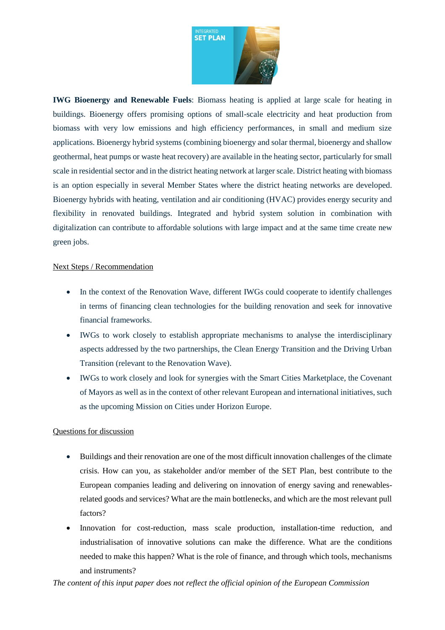

**IWG Bioenergy and Renewable Fuels**: Biomass heating is applied at large scale for heating in buildings. Bioenergy offers promising options of small-scale electricity and heat production from biomass with very low emissions and high efficiency performances, in small and medium size applications. Bioenergy hybrid systems (combining bioenergy and solar thermal, bioenergy and shallow geothermal, heat pumps or waste heat recovery) are available in the heating sector, particularly for small scale in residential sector and in the district heating network at larger scale. District heating with biomass is an option especially in several Member States where the district heating networks are developed. Bioenergy hybrids with heating, ventilation and air conditioning (HVAC) provides energy security and flexibility in renovated buildings. Integrated and hybrid system solution in combination with digitalization can contribute to affordable solutions with large impact and at the same time create new green jobs.

#### Next Steps / Recommendation

- In the context of the Renovation Wave, different IWGs could cooperate to identify challenges in terms of financing clean technologies for the building renovation and seek for innovative financial frameworks.
- IWGs to work closely to establish appropriate mechanisms to analyse the interdisciplinary aspects addressed by the two partnerships, the Clean Energy Transition and the Driving Urban Transition (relevant to the Renovation Wave).
- IWGs to work closely and look for synergies with the Smart Cities Marketplace, the Covenant of Mayors as well as in the context of other relevant European and international initiatives, such as the upcoming Mission on Cities under Horizon Europe.

## Questions for discussion

- Buildings and their renovation are one of the most difficult innovation challenges of the climate crisis. How can you, as stakeholder and/or member of the SET Plan, best contribute to the European companies leading and delivering on innovation of energy saving and renewablesrelated goods and services? What are the main bottlenecks, and which are the most relevant pull factors?
- Innovation for cost-reduction, mass scale production, installation-time reduction, and industrialisation of innovative solutions can make the difference. What are the conditions needed to make this happen? What is the role of finance, and through which tools, mechanisms and instruments?